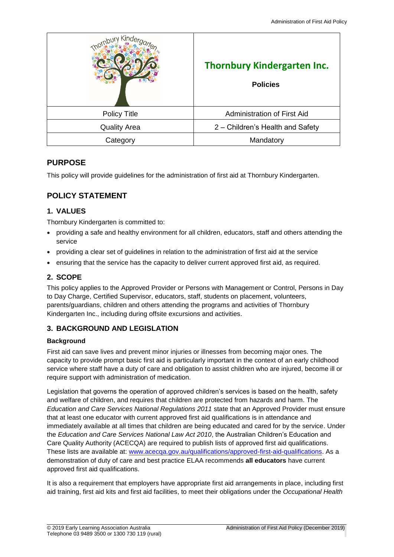| ⊲ind                | <b>Thornbury Kindergarten Inc.</b><br><b>Policies</b> |
|---------------------|-------------------------------------------------------|
| <b>Policy Title</b> | Administration of First Aid                           |
| <b>Quality Area</b> | 2 – Children's Health and Safety                      |
| Category            | Mandatory                                             |

## **PURPOSE**

This policy will provide guidelines for the administration of first aid at Thornbury Kindergarten.

# **POLICY STATEMENT**

## **1. VALUES**

Thornbury Kindergarten is committed to:

- providing a safe and healthy environment for all children, educators, staff and others attending the service
- providing a clear set of guidelines in relation to the administration of first aid at the service
- ensuring that the service has the capacity to deliver current approved first aid, as required.

## **2. SCOPE**

This policy applies to the Approved Provider or Persons with Management or Control, Persons in Day to Day Charge, Certified Supervisor, educators, staff, students on placement, volunteers, parents/guardians, children and others attending the programs and activities of Thornbury Kindergarten Inc., including during offsite excursions and activities.

## **3. BACKGROUND AND LEGISLATION**

#### **Background**

First aid can save lives and prevent minor injuries or illnesses from becoming major ones. The capacity to provide prompt basic first aid is particularly important in the context of an early childhood service where staff have a duty of care and obligation to assist children who are injured, become ill or require support with administration of medication.

Legislation that governs the operation of approved children's services is based on the health, safety and welfare of children, and requires that children are protected from hazards and harm. The *Education and Care Services National Regulations 2011* state that an Approved Provider must ensure that at least one educator with current approved first aid qualifications is in attendance and immediately available at all times that children are being educated and cared for by the service. Under the *Education and Care Services National Law Act 2010*, the Australian Children's Education and Care Quality Authority (ACECQA) are required to publish lists of approved first aid qualifications. These lists are available at: [www.acecqa.gov.au/qualifications/approved-first-aid-qualifications.](http://www.acecqa.gov.au/qualifications/approved-first-aid-qualifications) As a demonstration of duty of care and best practice ELAA recommends **all educators** have current approved first aid qualifications.

It is also a requirement that employers have appropriate first aid arrangements in place, including first aid training, first aid kits and first aid facilities, to meet their obligations under the *Occupational Health*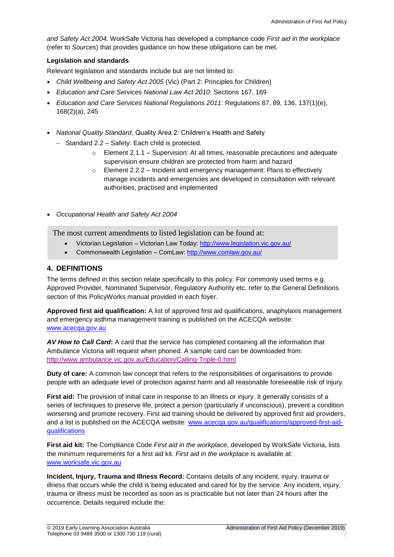*and Safety Act 2004.* WorkSafe Victoria has developed a compliance code *First aid in the workplace*  (refer to *Sources*) that provides guidance on how these obligations can be met.

### **Legislation and standards**

Relevant legislation and standards include but are not limited to:

- *Child Wellbeing and Safety Act 2005* (Vic) (Part 2: Principles for Children)
- *Education and Care Services National Law Act 2010*: Sections 167, 169
- *Education and Care Services National Regulations 2011*: Regulations 87, 89, 136, 137(1)(e), 168(2)(a), 245
- *National Quality Standard*, Quality Area 2: Children's Health and Safety
	- − Standard 2.2 Safety: Each child is protected.
		- o Element 2.1.1 Supervision: At all times, reasonable precautions and adequate supervision ensure children are protected from harm and hazard
		- o Element 2.2.2 Incident and emergency management: Plans to effectively manage incidents and emergencies are developed in consultation with relevant authorities, practised and implemented

• *Occupational Health and Safety Act 2004*

The most current amendments to listed legislation can be found at:

- Victorian Legislation Victorian Law Today:<http://www.legislation.vic.gov.au/>
- Commonwealth Legislation ComLaw:<http://www.comlaw.gov.au/>

## **4. DEFINITIONS**

The terms defined in this section relate specifically to this policy. For commonly used terms e.g. Approved Provider, Nominated Supervisor, Regulatory Authority etc. refer to the General Definitions section of this PolicyWorks manual provided in each foyer.

**Approved first aid qualification:** A list of approved first aid qualifications, anaphylaxis management and emergency asthma management training is published on the ACECQA website: [www.acecqa.gov.au](http://www.acecqa.gov.au/)

*AV How to Call Card***:** A card that the service has completed containing all the information that Ambulance Victoria will request when phoned. A sample card can be downloaded from: <http://www.ambulance.vic.gov.au/Education/Calling-Triple-0.html>

**Duty of care:** A common law concept that refers to the responsibilities of organisations to provide people with an adequate level of protection against harm and all reasonable foreseeable risk of injury.

**First aid:** The provision of initial care in response to an illness or injury. It generally consists of a series of techniques to preserve life, protect a person (particularly if unconscious), prevent a condition worsening and promote recovery. First aid training should be delivered by approved first aid providers, and a list is published on the ACECQA website: [www.acecqa.gov.au/qualifications/approved-first-aid](http://www.acecqa.gov.au/qualifications/approved-first-aid-qualifications)[qualifications](http://www.acecqa.gov.au/qualifications/approved-first-aid-qualifications)

**First aid kit:** The Compliance Code *First aid in the workplace*, developed by WorkSafe Victoria, lists the minimum requirements for a first aid kit. *First aid in the workplace* is available at: [www.worksafe.vic.gov.au](http://www.worksafe.vic.gov.au/)

**Incident, Injury, Trauma and Illness Record:** Contains details of any incident, injury, trauma or illness that occurs while the child is being educated and cared for by the service. Any incident, injury, trauma or illness must be recorded as soon as is practicable but not later than 24 hours after the occurrence. Details required include the: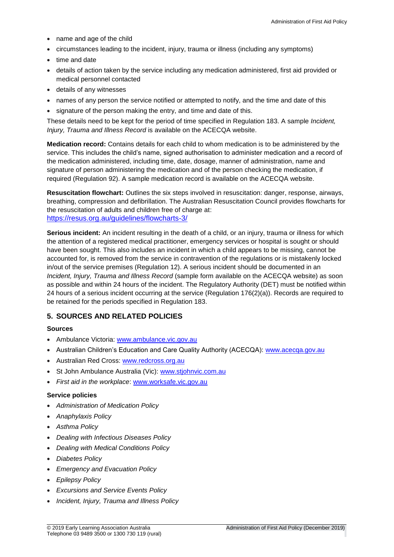- name and age of the child
- circumstances leading to the incident, injury, trauma or illness (including any symptoms)
- time and date
- details of action taken by the service including any medication administered, first aid provided or medical personnel contacted
- details of any witnesses
- names of any person the service notified or attempted to notify, and the time and date of this
- signature of the person making the entry, and time and date of this.

These details need to be kept for the period of time specified in Regulation 183. A sample *Incident, Injury, Trauma and Illness Record* is available on the ACECQA website.

**Medication record:** Contains details for each child to whom medication is to be administered by the service. This includes the child's name, signed authorisation to administer medication and a record of the medication administered, including time, date, dosage, manner of administration, name and signature of person administering the medication and of the person checking the medication, if required (Regulation 92). A sample medication record is available on the ACECQA website.

**Resuscitation flowchart:** Outlines the six steps involved in resuscitation: danger, response, airways, breathing, compression and defibrillation. The Australian Resuscitation Council provides flowcharts for the resuscitation of adults and children free of charge at: <https://resus.org.au/guidelines/flowcharts-3/>

**Serious incident:** An incident resulting in the death of a child, or an injury, trauma or illness for which the attention of a registered medical practitioner, emergency services or hospital is sought or should have been sought. This also includes an incident in which a child appears to be missing, cannot be accounted for, is removed from the service in contravention of the regulations or is mistakenly locked in/out of the service premises (Regulation 12). A serious incident should be documented in an *Incident, Injury, Trauma and Illness Record* (sample form available on the ACECQA website) as soon as possible and within 24 hours of the incident. The Regulatory Authority (DET) must be notified within 24 hours of a serious incident occurring at the service (Regulation 176(2)(a)). Records are required to be retained for the periods specified in Regulation 183.

## **5. SOURCES AND RELATED POLICIES**

#### **Sources**

- Ambulance Victoria: [www.ambulance.vic.gov.au](http://www.ambulance.vic.gov.au/)
- Australian Children's Education and Care Quality Authority (ACECQA): [www.acecqa.gov.au](http://www.acecqa.gov.au/)
- Australian Red Cross: [www.redcross.org.au](http://www.redcross.org.au/)
- St John Ambulance Australia (Vic): [www.stjohnvic.com.au](http://www.stjohnvic.com.au/)
- *First aid in the workplace*: [www.worksafe.vic.gov.au](http://www.worksafe.vic.gov.au/)

#### **Service policies**

- *Administration of Medication Policy*
- *Anaphylaxis Policy*
- *Asthma Policy*
- *Dealing with Infectious Diseases Policy*
- *Dealing with Medical Conditions Policy*
- *Diabetes Policy*
- *Emergency and Evacuation Policy*
- *Epilepsy Policy*
- *Excursions and Service Events Policy*
- *Incident, Injury, Trauma and Illness Policy*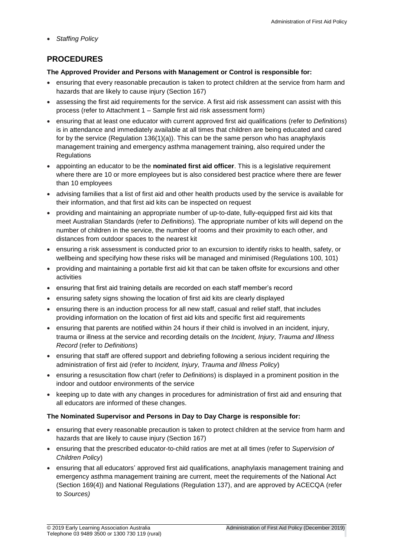• *Staffing Policy*

# **PROCEDURES**

## **The Approved Provider and Persons with Management or Control is responsible for:**

- ensuring that every reasonable precaution is taken to protect children at the service from harm and hazards that are likely to cause injury (Section 167)
- assessing the first aid requirements for the service. A first aid risk assessment can assist with this process (refer to Attachment 1 – Sample first aid risk assessment form)
- ensuring that at least one educator with current approved first aid qualifications (refer to *Definitions*) is in attendance and immediately available at all times that children are being educated and cared for by the service (Regulation 136(1)(a)). This can be the same person who has anaphylaxis management training and emergency asthma management training, also required under the **Regulations**
- appointing an educator to be the **nominated first aid officer**. This is a legislative requirement where there are 10 or more employees but is also considered best practice where there are fewer than 10 employees
- advising families that a list of first aid and other health products used by the service is available for their information, and that first aid kits can be inspected on request
- providing and maintaining an appropriate number of up-to-date, fully-equipped first aid kits that meet Australian Standards (refer to *Definitions*). The appropriate number of kits will depend on the number of children in the service, the number of rooms and their proximity to each other, and distances from outdoor spaces to the nearest kit
- ensuring a risk assessment is conducted prior to an excursion to identify risks to health, safety, or wellbeing and specifying how these risks will be managed and minimised (Regulations 100, 101)
- providing and maintaining a portable first aid kit that can be taken offsite for excursions and other activities
- ensuring that first aid training details are recorded on each staff member's record
- ensuring safety signs showing the location of first aid kits are clearly displayed
- ensuring there is an induction process for all new staff, casual and relief staff, that includes providing information on the location of first aid kits and specific first aid requirements
- ensuring that parents are notified within 24 hours if their child is involved in an incident, injury, trauma or illness at the service and recording details on the *Incident, Injury, Trauma and Illness Record* (refer to *Definitions*)
- ensuring that staff are offered support and debriefing following a serious incident requiring the administration of first aid (refer to *Incident, Injury, Trauma and Illness Policy*)
- ensuring a resuscitation flow chart (refer to *Definitions*) is displayed in a prominent position in the indoor and outdoor environments of the service
- keeping up to date with any changes in procedures for administration of first aid and ensuring that all educators are informed of these changes.

## **The Nominated Supervisor and Persons in Day to Day Charge is responsible for:**

- ensuring that every reasonable precaution is taken to protect children at the service from harm and hazards that are likely to cause injury (Section 167)
- ensuring that the prescribed educator-to-child ratios are met at all times (refer to *Supervision of Children Policy*)
- ensuring that all educators' approved first aid qualifications, anaphylaxis management training and emergency asthma management training are current, meet the requirements of the National Act (Section 169(4)) and National Regulations (Regulation 137), and are approved by ACECQA (refer to *Sources)*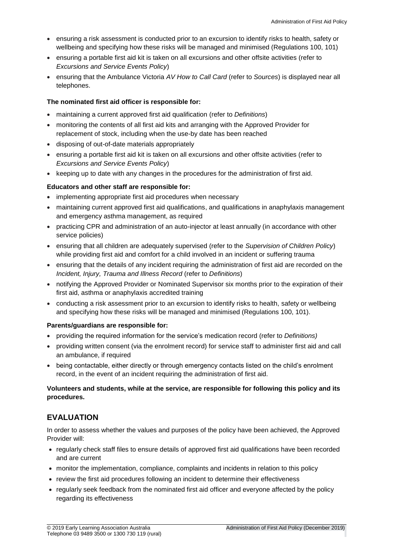- ensuring a risk assessment is conducted prior to an excursion to identify risks to health, safety or wellbeing and specifying how these risks will be managed and minimised (Regulations 100, 101)
- ensuring a portable first aid kit is taken on all excursions and other offsite activities (refer to *Excursions and Service Events Policy*)
- ensuring that the Ambulance Victoria *AV How to Call Card* (refer to *Sources*) is displayed near all telephones.

#### **The nominated first aid officer is responsible for:**

- maintaining a current approved first aid qualification (refer to *Definitions*)
- monitoring the contents of all first aid kits and arranging with the Approved Provider for replacement of stock, including when the use-by date has been reached
- disposing of out-of-date materials appropriately
- ensuring a portable first aid kit is taken on all excursions and other offsite activities (refer to *Excursions and Service Events Policy*)
- keeping up to date with any changes in the procedures for the administration of first aid.

#### **Educators and other staff are responsible for:**

- implementing appropriate first aid procedures when necessary
- maintaining current approved first aid qualifications, and qualifications in anaphylaxis management and emergency asthma management, as required
- practicing CPR and administration of an auto-injector at least annually (in accordance with other service policies)
- ensuring that all children are adequately supervised (refer to the *Supervision of Children Policy*) while providing first aid and comfort for a child involved in an incident or suffering trauma
- ensuring that the details of any incident requiring the administration of first aid are recorded on the *Incident, Injury, Trauma and Illness Record* (refer to *Definitions*)
- notifying the Approved Provider or Nominated Supervisor six months prior to the expiration of their first aid, asthma or anaphylaxis accredited training
- conducting a risk assessment prior to an excursion to identify risks to health, safety or wellbeing and specifying how these risks will be managed and minimised (Regulations 100, 101).

#### **Parents/guardians are responsible for:**

- providing the required information for the service's medication record (refer to *Definitions)*
- providing written consent (via the enrolment record) for service staff to administer first aid and call an ambulance, if required
- being contactable, either directly or through emergency contacts listed on the child's enrolment record, in the event of an incident requiring the administration of first aid.

### **Volunteers and students, while at the service, are responsible for following this policy and its procedures.**

## **EVALUATION**

In order to assess whether the values and purposes of the policy have been achieved, the Approved Provider will:

- regularly check staff files to ensure details of approved first aid qualifications have been recorded and are current
- monitor the implementation, compliance, complaints and incidents in relation to this policy
- review the first aid procedures following an incident to determine their effectiveness
- regularly seek feedback from the nominated first aid officer and everyone affected by the policy regarding its effectiveness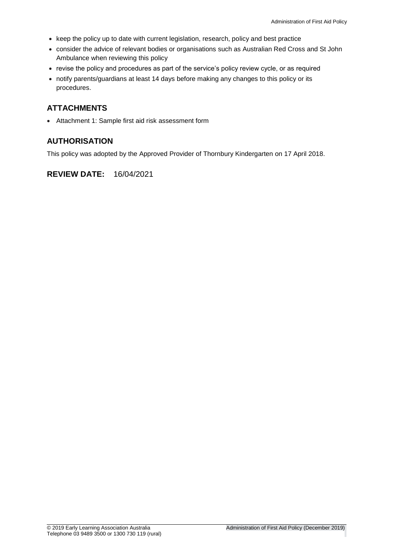- keep the policy up to date with current legislation, research, policy and best practice
- consider the advice of relevant bodies or organisations such as Australian Red Cross and St John Ambulance when reviewing this policy
- revise the policy and procedures as part of the service's policy review cycle, or as required
- notify parents/guardians at least 14 days before making any changes to this policy or its procedures.

# **ATTACHMENTS**

• Attachment 1: Sample first aid risk assessment form

## **AUTHORISATION**

This policy was adopted by the Approved Provider of Thornbury Kindergarten on 17 April 2018.

## **REVIEW DATE:** 16/04/2021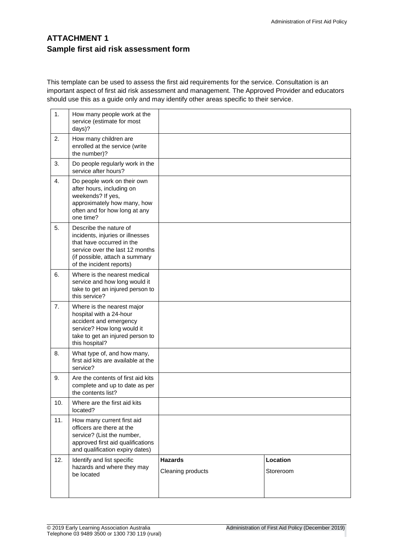# **ATTACHMENT 1 Sample first aid risk assessment form**

This template can be used to assess the first aid requirements for the service. Consultation is an important aspect of first aid risk assessment and management. The Approved Provider and educators should use this as a guide only and may identify other areas specific to their service.

| 1.               | How many people work at the<br>service (estimate for most<br>days)?                                                                                                                      |                                     |                       |
|------------------|------------------------------------------------------------------------------------------------------------------------------------------------------------------------------------------|-------------------------------------|-----------------------|
| 2.               | How many children are<br>enrolled at the service (write<br>the number)?                                                                                                                  |                                     |                       |
| 3.               | Do people regularly work in the<br>service after hours?                                                                                                                                  |                                     |                       |
| $\overline{4}$ . | Do people work on their own<br>after hours, including on<br>weekends? If yes,<br>approximately how many, how<br>often and for how long at any<br>one time?                               |                                     |                       |
| 5.               | Describe the nature of<br>incidents, injuries or illnesses<br>that have occurred in the<br>service over the last 12 months<br>(if possible, attach a summary<br>of the incident reports) |                                     |                       |
| 6.               | Where is the nearest medical<br>service and how long would it<br>take to get an injured person to<br>this service?                                                                       |                                     |                       |
| 7.               | Where is the nearest major<br>hospital with a 24-hour<br>accident and emergency<br>service? How long would it<br>take to get an injured person to<br>this hospital?                      |                                     |                       |
| 8.               | What type of, and how many,<br>first aid kits are available at the<br>service?                                                                                                           |                                     |                       |
| 9.               | Are the contents of first aid kits<br>complete and up to date as per<br>the contents list?                                                                                               |                                     |                       |
| 10.              | Where are the first aid kits<br>located?                                                                                                                                                 |                                     |                       |
| 11.              | How many current first aid<br>officers are there at the<br>service? (List the number,<br>approved first aid qualifications<br>and qualification expiry dates)                            |                                     |                       |
| 12.              | Identify and list specific<br>hazards and where they may<br>be located                                                                                                                   | <b>Hazards</b><br>Cleaning products | Location<br>Storeroom |